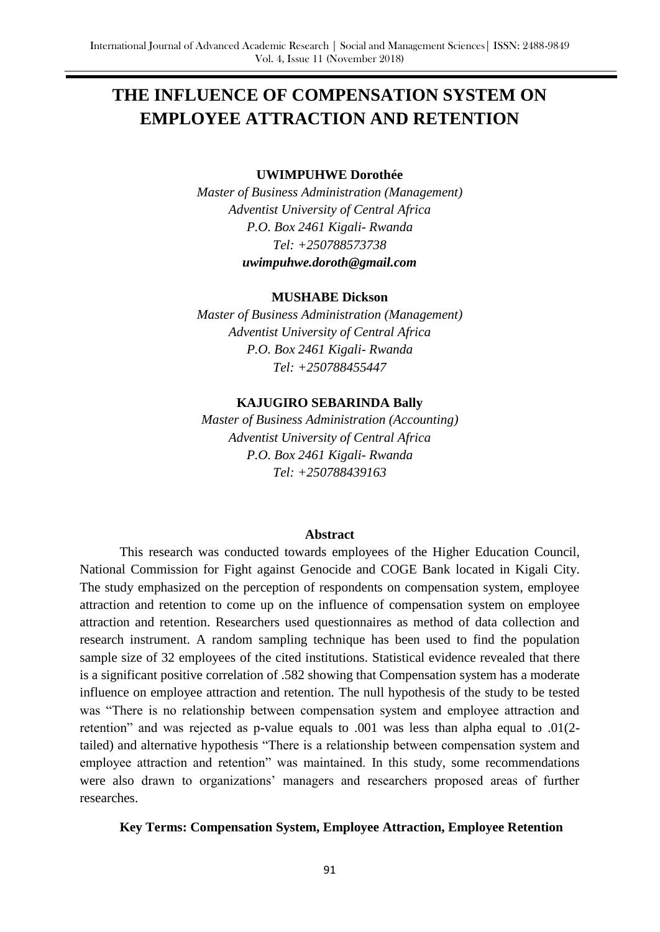# **THE INFLUENCE OF COMPENSATION SYSTEM ON EMPLOYEE ATTRACTION AND RETENTION**

#### **UWIMPUHWE Dorothée**

*Master of Business Administration (Management) Adventist University of Central Africa P.O. Box 2461 Kigali- Rwanda Tel: +250788573738 [uwimpuhwe.doroth@gmail.com](mailto:uwimpuhwe.doroth@gmail.com)*

#### **MUSHABE Dickson**

*Master of Business Administration (Management) Adventist University of Central Africa P.O. Box 2461 Kigali- Rwanda Tel: +250788455447*

#### **KAJUGIRO SEBARINDA Bally**

*Master of Business Administration (Accounting) Adventist University of Central Africa P.O. Box 2461 Kigali- Rwanda Tel: +250788439163*

#### **Abstract**

This research was conducted towards employees of the Higher Education Council, National Commission for Fight against Genocide and COGE Bank located in Kigali City. The study emphasized on the perception of respondents on compensation system, employee attraction and retention to come up on the influence of compensation system on employee attraction and retention. Researchers used questionnaires as method of data collection and research instrument. A random sampling technique has been used to find the population sample size of 32 employees of the cited institutions. Statistical evidence revealed that there is a significant positive correlation of .582 showing that Compensation system has a moderate influence on employee attraction and retention. The null hypothesis of the study to be tested was "There is no relationship between compensation system and employee attraction and retention" and was rejected as p-value equals to .001 was less than alpha equal to .01(2 tailed) and alternative hypothesis "There is a relationship between compensation system and employee attraction and retention" was maintained. In this study, some recommendations were also drawn to organizations' managers and researchers proposed areas of further researches.

#### **Key Terms: Compensation System, Employee Attraction, Employee Retention**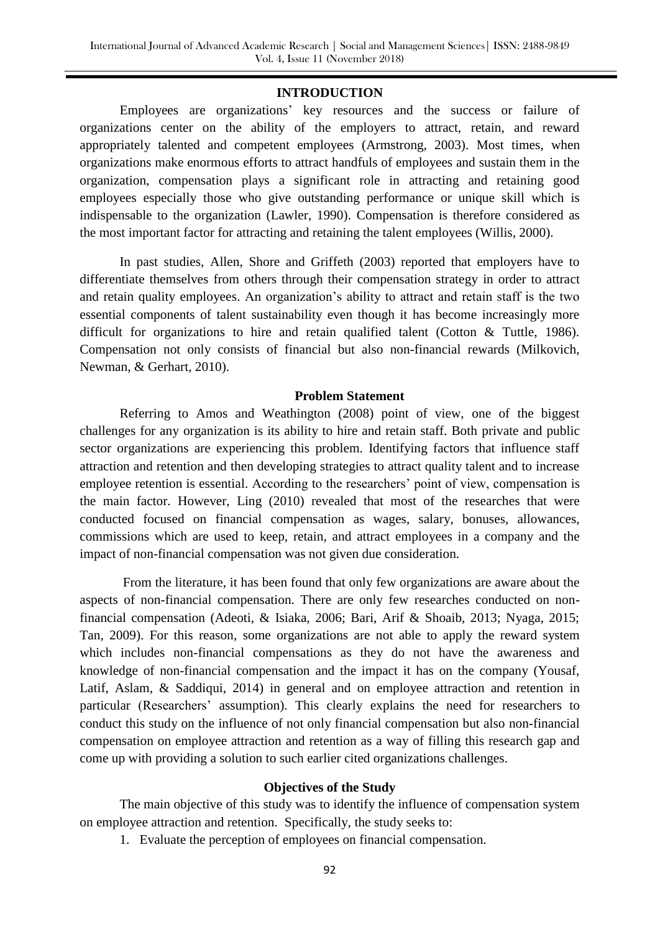#### **INTRODUCTION**

Employees are organizations' key resources and the success or failure of organizations center on the ability of the employers to attract, retain, and reward appropriately talented and competent employees (Armstrong, 2003). Most times, when organizations make enormous efforts to attract handfuls of employees and sustain them in the organization, compensation plays a significant role in attracting and retaining good employees especially those who give outstanding performance or unique skill which is indispensable to the organization (Lawler, 1990). Compensation is therefore considered as the most important factor for attracting and retaining the talent employees (Willis, 2000).

In past studies, Allen, Shore and Griffeth (2003) reported that employers have to differentiate themselves from others through their compensation strategy in order to attract and retain quality employees. An organization's ability to attract and retain staff is the two essential components of talent sustainability even though it has become increasingly more difficult for organizations to hire and retain qualified talent (Cotton & Tuttle, 1986). Compensation not only consists of financial but also non-financial rewards (Milkovich, Newman, & Gerhart, 2010).

#### **Problem Statement**

Referring to Amos and Weathington (2008) point of view, one of the biggest challenges for any organization is its ability to hire and retain staff. Both private and public sector organizations are experiencing this problem. Identifying factors that influence staff attraction and retention and then developing strategies to attract quality talent and to increase employee retention is essential. According to the researchers' point of view, compensation is the main factor. However, Ling (2010) revealed that most of the researches that were conducted focused on financial compensation as wages, salary, bonuses, allowances, commissions which are used to keep, retain, and attract employees in a company and the impact of non-financial compensation was not given due consideration.

From the literature, it has been found that only few organizations are aware about the aspects of non-financial compensation. There are only few researches conducted on nonfinancial compensation (Adeoti, & Isiaka, 2006; Bari, Arif & Shoaib, 2013; Nyaga, 2015; Tan, 2009). For this reason, some organizations are not able to apply the reward system which includes non-financial compensations as they do not have the awareness and knowledge of non-financial compensation and the impact it has on the company (Yousaf, Latif, Aslam, & Saddiqui, 2014) in general and on employee attraction and retention in particular (Researchers' assumption). This clearly explains the need for researchers to conduct this study on the influence of not only financial compensation but also non-financial compensation on employee attraction and retention as a way of filling this research gap and come up with providing a solution to such earlier cited organizations challenges.

#### **Objectives of the Study**

The main objective of this study was to identify the influence of compensation system on employee attraction and retention. Specifically, the study seeks to:

1. Evaluate the perception of employees on financial compensation.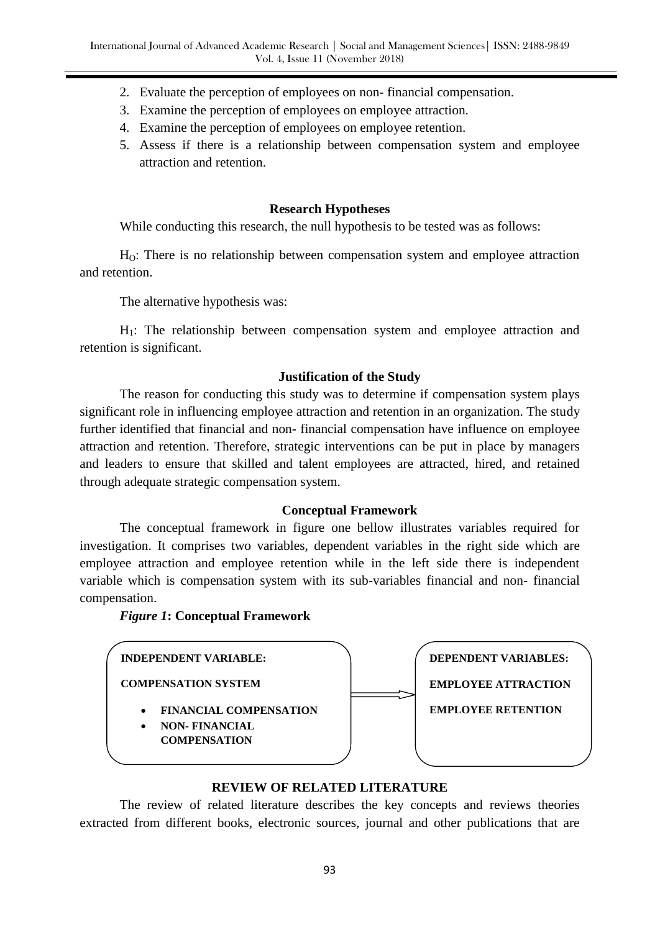- 2. Evaluate the perception of employees on non- financial compensation.
- 3. Examine the perception of employees on employee attraction.
- 4. Examine the perception of employees on employee retention.
- 5. Assess if there is a relationship between compensation system and employee attraction and retention.

### **Research Hypotheses**

While conducting this research, the null hypothesis to be tested was as follows:

HO: There is no relationship between compensation system and employee attraction and retention.

The alternative hypothesis was:

H1: The relationship between compensation system and employee attraction and retention is significant.

### **Justification of the Study**

The reason for conducting this study was to determine if compensation system plays significant role in influencing employee attraction and retention in an organization. The study further identified that financial and non- financial compensation have influence on employee attraction and retention. Therefore, strategic interventions can be put in place by managers and leaders to ensure that skilled and talent employees are attracted, hired, and retained through adequate strategic compensation system.

### **Conceptual Framework**

The conceptual framework in figure one bellow illustrates variables required for investigation. It comprises two variables, dependent variables in the right side which are employee attraction and employee retention while in the left side there is independent variable which is compensation system with its sub-variables financial and non- financial compensation.

### *Figure 1***: Conceptual Framework**



### **REVIEW OF RELATED LITERATURE**

The review of related literature describes the key concepts and reviews theories extracted from different books, electronic sources, journal and other publications that are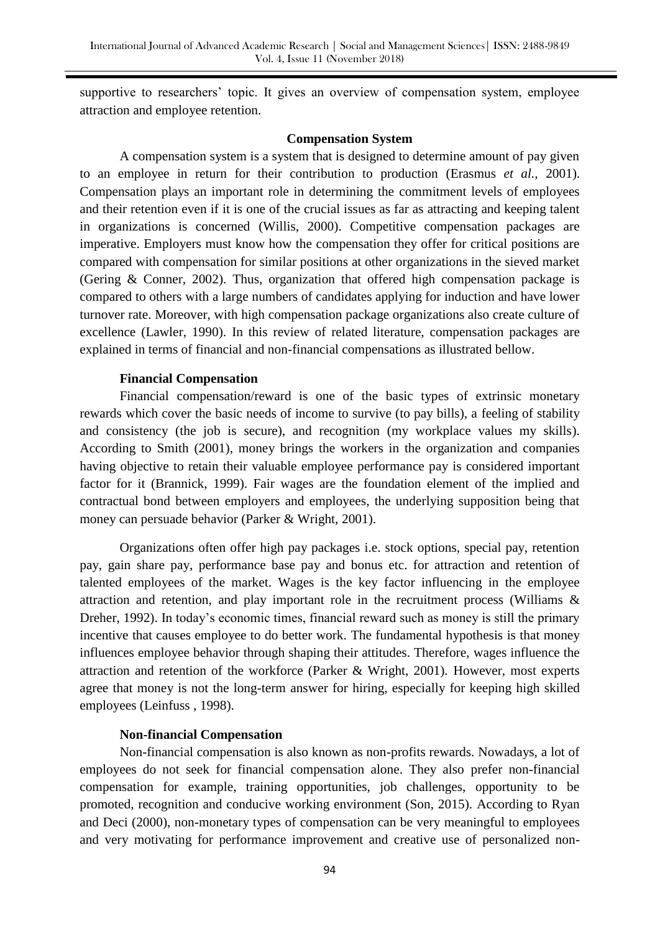supportive to researchers' topic. It gives an overview of compensation system, employee attraction and employee retention.

#### **Compensation System**

A compensation system is a system that is designed to determine amount of pay given to an employee in return for their contribution to production (Erasmus *et al.,* 2001). Compensation plays an important role in determining the commitment levels of employees and their retention even if it is one of the crucial issues as far as attracting and keeping talent in organizations is concerned (Willis, 2000). Competitive compensation packages are imperative. Employers must know how the compensation they offer for critical positions are compared with compensation for similar positions at other organizations in the sieved market (Gering & Conner, 2002). Thus, organization that offered high compensation package is compared to others with a large numbers of candidates applying for induction and have lower turnover rate. Moreover, with high compensation package organizations also create culture of excellence (Lawler, 1990). In this review of related literature, compensation packages are explained in terms of financial and non-financial compensations as illustrated bellow.

### **Financial Compensation**

Financial compensation/reward is one of the basic types of extrinsic monetary rewards which cover the basic needs of income to survive (to pay bills), a feeling of stability and consistency (the job is secure), and recognition (my workplace values my skills). According to Smith (2001), money brings the workers in the organization and companies having objective to retain their valuable employee performance pay is considered important factor for it (Brannick, 1999). Fair wages are the foundation element of the implied and contractual bond between employers and employees, the underlying supposition being that money can persuade behavior (Parker & Wright, 2001).

Organizations often offer high pay packages i.e. stock options, special pay, retention pay, gain share pay, performance base pay and bonus etc. for attraction and retention of talented employees of the market. Wages is the key factor influencing in the employee attraction and retention, and play important role in the recruitment process (Williams & Dreher, 1992). In today's economic times, financial reward such as money is still the primary incentive that causes employee to do better work. The fundamental hypothesis is that money influences employee behavior through shaping their attitudes. Therefore, wages influence the attraction and retention of the workforce (Parker & Wright, 2001). However, most experts agree that money is not the long-term answer for hiring, especially for keeping high skilled employees (Leinfuss , 1998).

### **Non-financial Compensation**

Non-financial compensation is also known as non-profits rewards. Nowadays, a lot of employees do not seek for financial compensation alone. They also prefer non-financial compensation for example, training opportunities, job challenges, opportunity to be promoted, recognition and conducive working environment (Son, 2015). According to Ryan and Deci (2000), non-monetary types of compensation can be very meaningful to employees and very motivating for performance improvement and creative use of personalized non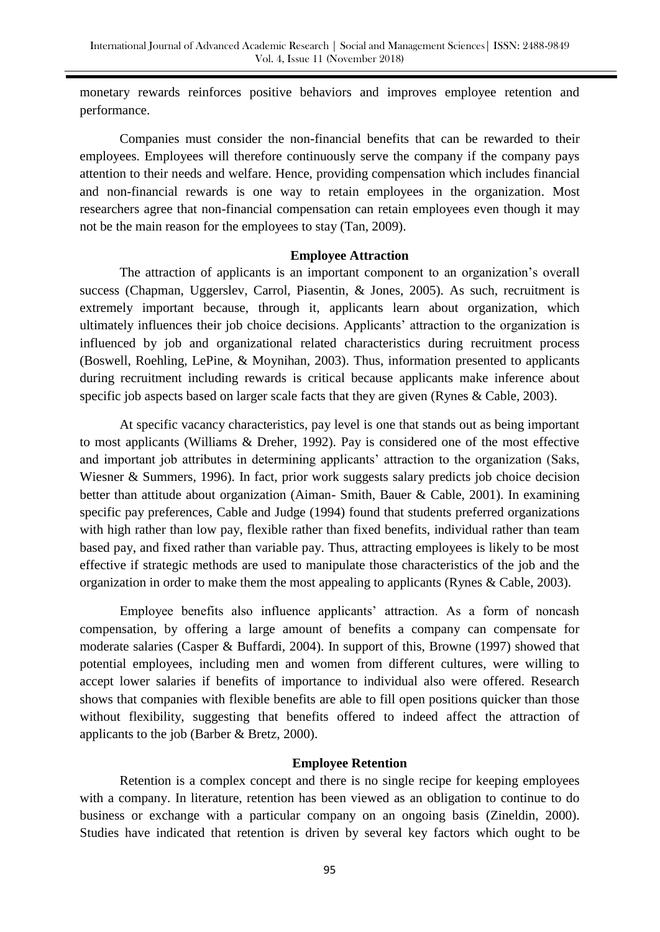monetary rewards reinforces positive behaviors and improves employee retention and performance.

Companies must consider the non-financial benefits that can be rewarded to their employees. Employees will therefore continuously serve the company if the company pays attention to their needs and welfare. Hence, providing compensation which includes financial and non-financial rewards is one way to retain employees in the organization. Most researchers agree that non-financial compensation can retain employees even though it may not be the main reason for the employees to stay (Tan, 2009).

#### **Employee Attraction**

The attraction of applicants is an important component to an organization's overall success (Chapman, Uggerslev, Carrol, Piasentin, & Jones, 2005). As such, recruitment is extremely important because, through it, applicants learn about organization, which ultimately influences their job choice decisions. Applicants' attraction to the organization is influenced by job and organizational related characteristics during recruitment process (Boswell, Roehling, LePine, & Moynihan, 2003). Thus, information presented to applicants during recruitment including rewards is critical because applicants make inference about specific job aspects based on larger scale facts that they are given (Rynes & Cable, 2003).

At specific vacancy characteristics, pay level is one that stands out as being important to most applicants (Williams & Dreher, 1992). Pay is considered one of the most effective and important job attributes in determining applicants' attraction to the organization (Saks, Wiesner & Summers, 1996). In fact, prior work suggests salary predicts job choice decision better than attitude about organization (Aiman- Smith, Bauer & Cable, 2001). In examining specific pay preferences, Cable and Judge (1994) found that students preferred organizations with high rather than low pay, flexible rather than fixed benefits, individual rather than team based pay, and fixed rather than variable pay. Thus, attracting employees is likely to be most effective if strategic methods are used to manipulate those characteristics of the job and the organization in order to make them the most appealing to applicants (Rynes & Cable, 2003).

Employee benefits also influence applicants' attraction. As a form of noncash compensation, by offering a large amount of benefits a company can compensate for moderate salaries (Casper & Buffardi, 2004). In support of this, Browne (1997) showed that potential employees, including men and women from different cultures, were willing to accept lower salaries if benefits of importance to individual also were offered. Research shows that companies with flexible benefits are able to fill open positions quicker than those without flexibility, suggesting that benefits offered to indeed affect the attraction of applicants to the job (Barber & Bretz, 2000).

#### **Employee Retention**

Retention is a complex concept and there is no single recipe for keeping employees with a company. In literature, retention has been viewed as an obligation to continue to do business or exchange with a particular company on an ongoing basis (Zineldin, 2000). Studies have indicated that retention is driven by several key factors which ought to be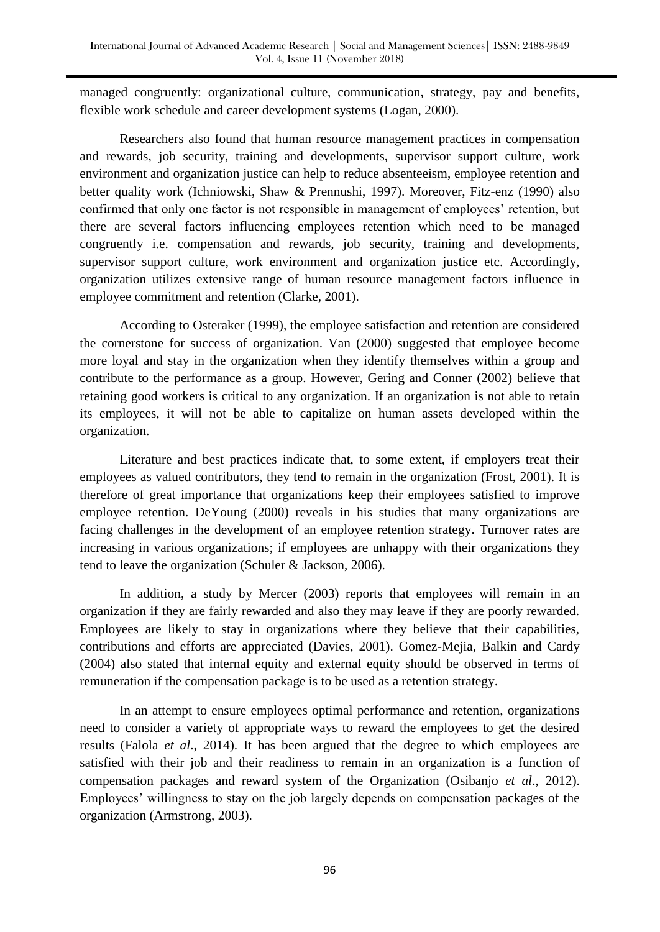managed congruently: organizational culture, communication, strategy, pay and benefits, flexible work schedule and career development systems (Logan, 2000).

Researchers also found that human resource management practices in compensation and rewards, job security, training and developments, supervisor support culture, work environment and organization justice can help to reduce absenteeism, employee retention and better quality work (Ichniowski, Shaw & Prennushi, 1997). Moreover, Fitz-enz (1990) also confirmed that only one factor is not responsible in management of employees' retention, but there are several factors influencing employees retention which need to be managed congruently i.e. compensation and rewards, job security, training and developments, supervisor support culture, work environment and organization justice etc. Accordingly, organization utilizes extensive range of human resource management factors influence in employee commitment and retention (Clarke, 2001).

According to Osteraker (1999), the employee satisfaction and retention are considered the cornerstone for success of organization. Van (2000) suggested that employee become more loyal and stay in the organization when they identify themselves within a group and contribute to the performance as a group. However, Gering and Conner (2002) believe that retaining good workers is critical to any organization. If an organization is not able to retain its employees, it will not be able to capitalize on human assets developed within the organization.

Literature and best practices indicate that, to some extent, if employers treat their employees as valued contributors, they tend to remain in the organization (Frost, 2001). It is therefore of great importance that organizations keep their employees satisfied to improve employee retention. DeYoung (2000) reveals in his studies that many organizations are facing challenges in the development of an employee retention strategy. Turnover rates are increasing in various organizations; if employees are unhappy with their organizations they tend to leave the organization (Schuler & Jackson, 2006).

In addition, a study by Mercer (2003) reports that employees will remain in an organization if they are fairly rewarded and also they may leave if they are poorly rewarded. Employees are likely to stay in organizations where they believe that their capabilities, contributions and efforts are appreciated (Davies, 2001). Gomez-Mejia, Balkin and Cardy (2004) also stated that internal equity and external equity should be observed in terms of remuneration if the compensation package is to be used as a retention strategy.

In an attempt to ensure employees optimal performance and retention, organizations need to consider a variety of appropriate ways to reward the employees to get the desired results (Falola *et al*., 2014). It has been argued that the degree to which employees are satisfied with their job and their readiness to remain in an organization is a function of compensation packages and reward system of the Organization (Osibanjo *et al*., 2012). Employees' willingness to stay on the job largely depends on compensation packages of the organization (Armstrong, 2003).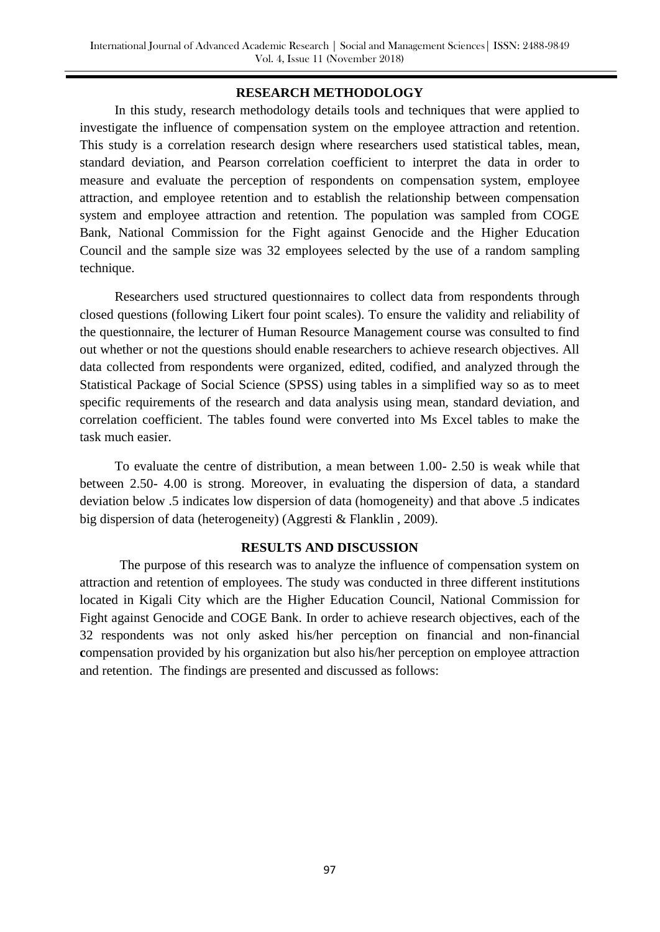### **RESEARCH METHODOLOGY**

In this study, research methodology details tools and techniques that were applied to investigate the influence of compensation system on the employee attraction and retention. This study is a correlation research design where researchers used statistical tables, mean, standard deviation, and Pearson correlation coefficient to interpret the data in order to measure and evaluate the perception of respondents on compensation system, employee attraction, and employee retention and to establish the relationship between compensation system and employee attraction and retention. The population was sampled from COGE Bank, National Commission for the Fight against Genocide and the Higher Education Council and the sample size was 32 employees selected by the use of a random sampling technique.

Researchers used structured questionnaires to collect data from respondents through closed questions (following Likert four point scales). To ensure the validity and reliability of the questionnaire, the lecturer of Human Resource Management course was consulted to find out whether or not the questions should enable researchers to achieve research objectives. All data collected from respondents were organized, edited, codified, and analyzed through the Statistical Package of Social Science (SPSS) using tables in a simplified way so as to meet specific requirements of the research and data analysis using mean, standard deviation, and correlation coefficient. The tables found were converted into Ms Excel tables to make the task much easier.

To evaluate the centre of distribution, a mean between 1.00- 2.50 is weak while that between 2.50- 4.00 is strong. Moreover, in evaluating the dispersion of data, a standard deviation below .5 indicates low dispersion of data (homogeneity) and that above .5 indicates big dispersion of data (heterogeneity) (Aggresti & Flanklin , 2009).

#### **RESULTS AND DISCUSSION**

The purpose of this research was to analyze the influence of compensation system on attraction and retention of employees. The study was conducted in three different institutions located in Kigali City which are the Higher Education Council, National Commission for Fight against Genocide and COGE Bank. In order to achieve research objectives, each of the 32 respondents was not only asked his/her perception on financial and non-financial **c**ompensation provided by his organization but also his/her perception on employee attraction and retention. The findings are presented and discussed as follows: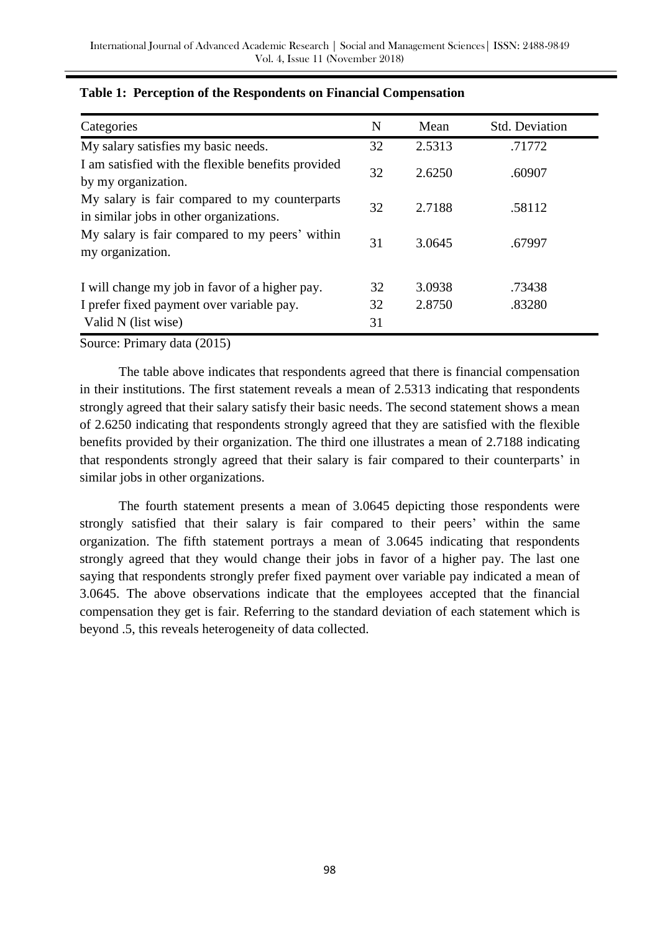| Categories                                                                               | N  | Mean   | <b>Std. Deviation</b> |
|------------------------------------------------------------------------------------------|----|--------|-----------------------|
| My salary satisfies my basic needs.                                                      | 32 | 2.5313 | .71772                |
| I am satisfied with the flexible benefits provided<br>by my organization.                | 32 | 2.6250 | .60907                |
| My salary is fair compared to my counterparts<br>in similar jobs in other organizations. | 32 | 2.7188 | .58112                |
| My salary is fair compared to my peers' within<br>my organization.                       | 31 | 3.0645 | .67997                |
| I will change my job in favor of a higher pay.                                           | 32 | 3.0938 | .73438                |
| I prefer fixed payment over variable pay.                                                | 32 | 2.8750 | .83280                |
| Valid N (list wise)                                                                      | 31 |        |                       |

### **Table 1: Perception of the Respondents on Financial Compensation**

Source: Primary data (2015)

The table above indicates that respondents agreed that there is financial compensation in their institutions. The first statement reveals a mean of 2.5313 indicating that respondents strongly agreed that their salary satisfy their basic needs. The second statement shows a mean of 2.6250 indicating that respondents strongly agreed that they are satisfied with the flexible benefits provided by their organization. The third one illustrates a mean of 2.7188 indicating that respondents strongly agreed that their salary is fair compared to their counterparts' in similar jobs in other organizations.

The fourth statement presents a mean of 3.0645 depicting those respondents were strongly satisfied that their salary is fair compared to their peers' within the same organization. The fifth statement portrays a mean of 3.0645 indicating that respondents strongly agreed that they would change their jobs in favor of a higher pay. The last one saying that respondents strongly prefer fixed payment over variable pay indicated a mean of 3.0645. The above observations indicate that the employees accepted that the financial compensation they get is fair. Referring to the standard deviation of each statement which is beyond .5, this reveals heterogeneity of data collected.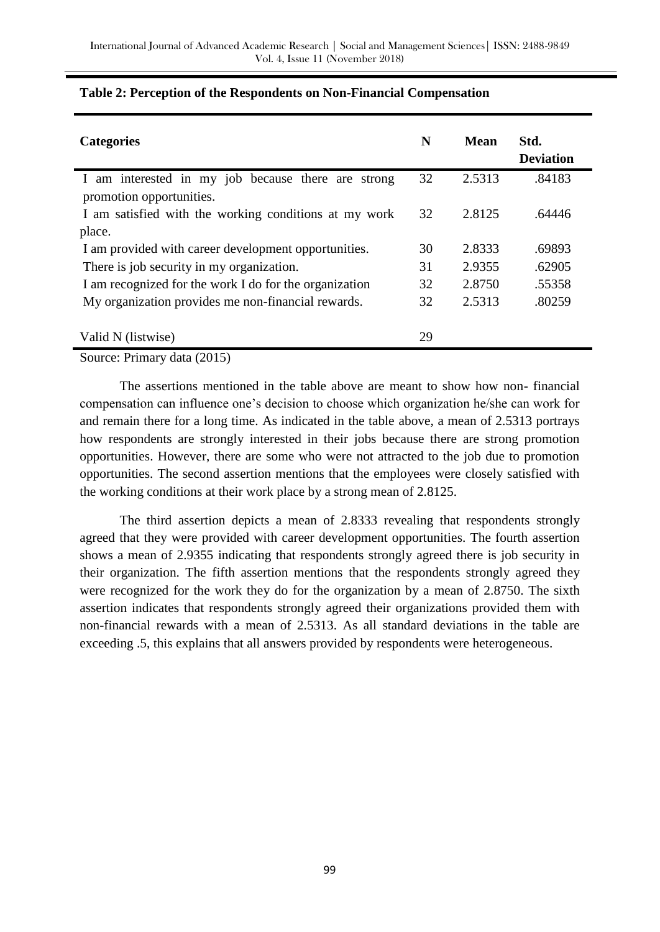| <b>Categories</b>                                      | N  | Mean   | Std.<br><b>Deviation</b> |
|--------------------------------------------------------|----|--------|--------------------------|
| I am interested in my job because there are strong     | 32 | 2.5313 | .84183                   |
| promotion opportunities.                               |    |        |                          |
| I am satisfied with the working conditions at my work  | 32 | 2.8125 | .64446                   |
| place.                                                 |    |        |                          |
| I am provided with career development opportunities.   | 30 | 2.8333 | .69893                   |
| There is job security in my organization.              | 31 | 2.9355 | .62905                   |
| I am recognized for the work I do for the organization | 32 | 2.8750 | .55358                   |
| My organization provides me non-financial rewards.     | 32 | 2.5313 | .80259                   |
|                                                        |    |        |                          |
| Valid N (listwise)                                     | 29 |        |                          |

### **Table 2: Perception of the Respondents on Non-Financial Compensation**

Source: Primary data (2015)

The assertions mentioned in the table above are meant to show how non- financial compensation can influence one's decision to choose which organization he/she can work for and remain there for a long time. As indicated in the table above, a mean of 2.5313 portrays how respondents are strongly interested in their jobs because there are strong promotion opportunities. However, there are some who were not attracted to the job due to promotion opportunities. The second assertion mentions that the employees were closely satisfied with the working conditions at their work place by a strong mean of 2.8125.

The third assertion depicts a mean of 2.8333 revealing that respondents strongly agreed that they were provided with career development opportunities. The fourth assertion shows a mean of 2.9355 indicating that respondents strongly agreed there is job security in their organization. The fifth assertion mentions that the respondents strongly agreed they were recognized for the work they do for the organization by a mean of 2.8750. The sixth assertion indicates that respondents strongly agreed their organizations provided them with non-financial rewards with a mean of 2.5313. As all standard deviations in the table are exceeding .5, this explains that all answers provided by respondents were heterogeneous.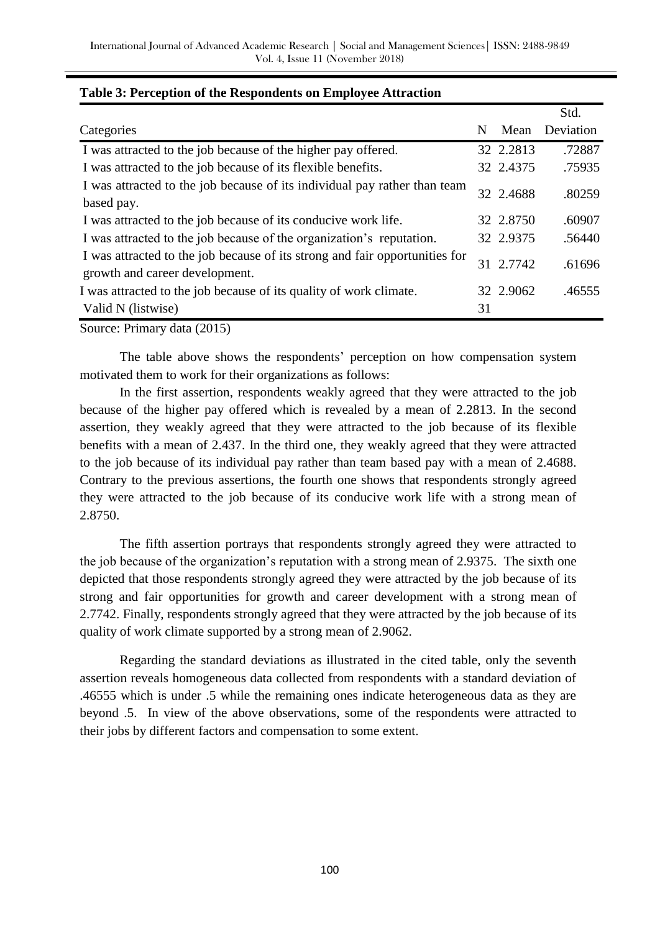|                                                                                                               |    |           | Std.      |
|---------------------------------------------------------------------------------------------------------------|----|-----------|-----------|
| Categories                                                                                                    | N  | Mean      | Deviation |
| I was attracted to the job because of the higher pay offered.                                                 |    | 32 2.2813 | .72887    |
| I was attracted to the job because of its flexible benefits.                                                  |    | 32 2.4375 | .75935    |
| I was attracted to the job because of its individual pay rather than team<br>based pay.                       |    | 32 2.4688 | .80259    |
| I was attracted to the job because of its conducive work life.                                                |    | 32 2.8750 | .60907    |
| I was attracted to the job because of the organization's reputation.                                          |    | 32 2.9375 | .56440    |
| I was attracted to the job because of its strong and fair opportunities for<br>growth and career development. |    | 31 2.7742 | .61696    |
| I was attracted to the job because of its quality of work climate.                                            |    | 32 2.9062 | .46555    |
| Valid N (listwise)                                                                                            | 31 |           |           |

### **Table 3: Perception of the Respondents on Employee Attraction**

Source: Primary data (2015)

The table above shows the respondents' perception on how compensation system motivated them to work for their organizations as follows:

In the first assertion, respondents weakly agreed that they were attracted to the job because of the higher pay offered which is revealed by a mean of 2.2813. In the second assertion, they weakly agreed that they were attracted to the job because of its flexible benefits with a mean of 2.437. In the third one, they weakly agreed that they were attracted to the job because of its individual pay rather than team based pay with a mean of 2.4688. Contrary to the previous assertions, the fourth one shows that respondents strongly agreed they were attracted to the job because of its conducive work life with a strong mean of 2.8750.

The fifth assertion portrays that respondents strongly agreed they were attracted to the job because of the organization's reputation with a strong mean of 2.9375. The sixth one depicted that those respondents strongly agreed they were attracted by the job because of its strong and fair opportunities for growth and career development with a strong mean of 2.7742. Finally, respondents strongly agreed that they were attracted by the job because of its quality of work climate supported by a strong mean of 2.9062.

Regarding the standard deviations as illustrated in the cited table, only the seventh assertion reveals homogeneous data collected from respondents with a standard deviation of .46555 which is under .5 while the remaining ones indicate heterogeneous data as they are beyond .5. In view of the above observations, some of the respondents were attracted to their jobs by different factors and compensation to some extent.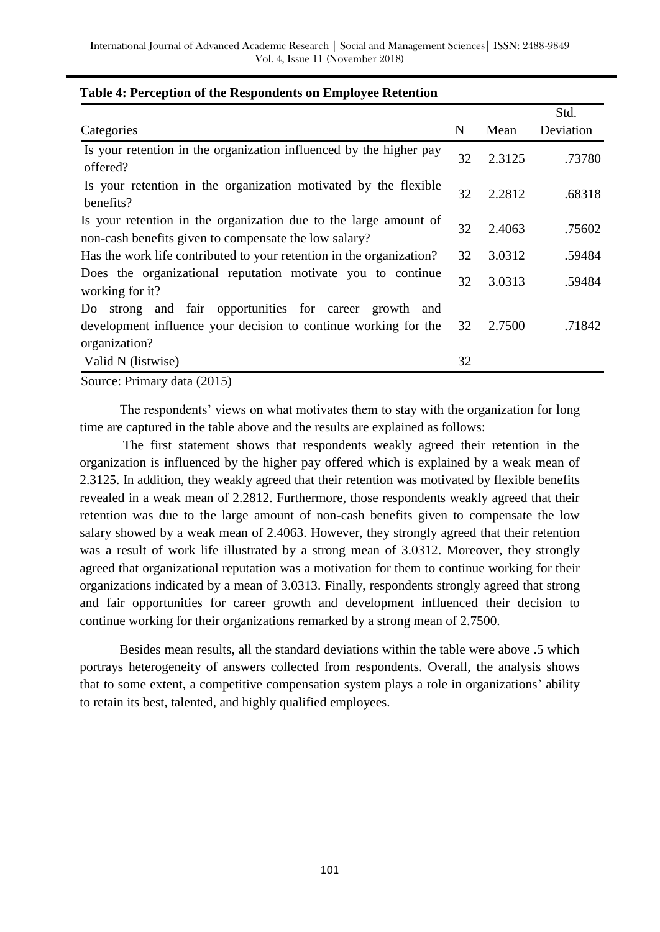|                                                                                                                           |    |        | Std.      |
|---------------------------------------------------------------------------------------------------------------------------|----|--------|-----------|
| Categories                                                                                                                | N  | Mean   | Deviation |
| Is your retention in the organization influenced by the higher pay<br>offered?                                            | 32 | 2.3125 | .73780    |
| Is your retention in the organization motivated by the flexible<br>benefits?                                              | 32 | 2.2812 | .68318    |
| Is your retention in the organization due to the large amount of<br>non-cash benefits given to compensate the low salary? | 32 | 2.4063 | .75602    |
| Has the work life contributed to your retention in the organization?                                                      | 32 | 3.0312 | .59484    |
| Does the organizational reputation motivate you to continue<br>working for it?                                            | 32 | 3.0313 | .59484    |
| and fair opportunities for career<br>Do strong<br>growth and                                                              |    |        |           |
| development influence your decision to continue working for the<br>organization?                                          | 32 | 2.7500 | .71842    |
| Valid N (listwise)                                                                                                        | 32 |        |           |
|                                                                                                                           |    |        |           |

#### **Table 4: Perception of the Respondents on Employee Retention**

Source: Primary data (2015)

The respondents' views on what motivates them to stay with the organization for long time are captured in the table above and the results are explained as follows:

The first statement shows that respondents weakly agreed their retention in the organization is influenced by the higher pay offered which is explained by a weak mean of 2.3125. In addition, they weakly agreed that their retention was motivated by flexible benefits revealed in a weak mean of 2.2812. Furthermore, those respondents weakly agreed that their retention was due to the large amount of non-cash benefits given to compensate the low salary showed by a weak mean of 2.4063. However, they strongly agreed that their retention was a result of work life illustrated by a strong mean of 3.0312. Moreover, they strongly agreed that organizational reputation was a motivation for them to continue working for their organizations indicated by a mean of 3.0313. Finally, respondents strongly agreed that strong and fair opportunities for career growth and development influenced their decision to continue working for their organizations remarked by a strong mean of 2.7500.

Besides mean results, all the standard deviations within the table were above .5 which portrays heterogeneity of answers collected from respondents. Overall, the analysis shows that to some extent, a competitive compensation system plays a role in organizations' ability to retain its best, talented, and highly qualified employees.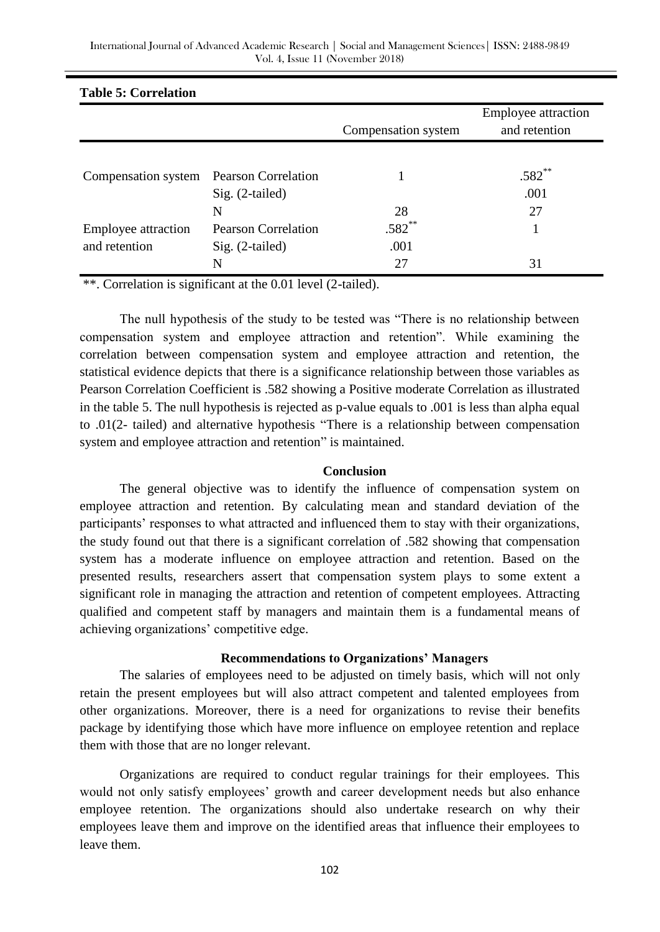| Table 5: Correlation                    |                            |                     |                            |
|-----------------------------------------|----------------------------|---------------------|----------------------------|
|                                         |                            |                     | <b>Employee attraction</b> |
|                                         |                            | Compensation system | and retention              |
|                                         |                            |                     |                            |
| Compensation system Pearson Correlation |                            |                     | $.582$ **                  |
|                                         | $Sig. (2-tailed)$          |                     | .001                       |
|                                         | N                          | 28                  | 27                         |
| <b>Employee attraction</b>              | <b>Pearson Correlation</b> | $.582***$           |                            |
| and retention                           | $Sig. (2-tailed)$          | .001                |                            |
|                                         | N                          | 27                  | 31                         |

# **Table 5: Correlation**

\*\*. Correlation is significant at the 0.01 level (2-tailed).

The null hypothesis of the study to be tested was "There is no relationship between compensation system and employee attraction and retention". While examining the correlation between compensation system and employee attraction and retention, the statistical evidence depicts that there is a significance relationship between those variables as Pearson Correlation Coefficient is .582 showing a Positive moderate Correlation as illustrated in the table 5. The null hypothesis is rejected as p-value equals to .001 is less than alpha equal to .01(2- tailed) and alternative hypothesis "There is a relationship between compensation system and employee attraction and retention" is maintained.

#### **Conclusion**

The general objective was to identify the influence of compensation system on employee attraction and retention. By calculating mean and standard deviation of the participants' responses to what attracted and influenced them to stay with their organizations, the study found out that there is a significant correlation of .582 showing that compensation system has a moderate influence on employee attraction and retention. Based on the presented results, researchers assert that compensation system plays to some extent a significant role in managing the attraction and retention of competent employees. Attracting qualified and competent staff by managers and maintain them is a fundamental means of achieving organizations' competitive edge.

#### **Recommendations to Organizations' Managers**

The salaries of employees need to be adjusted on timely basis, which will not only retain the present employees but will also attract competent and talented employees from other organizations. Moreover, there is a need for organizations to revise their benefits package by identifying those which have more influence on employee retention and replace them with those that are no longer relevant.

Organizations are required to conduct regular trainings for their employees. This would not only satisfy employees' growth and career development needs but also enhance employee retention. The organizations should also undertake research on why their employees leave them and improve on the identified areas that influence their employees to leave them.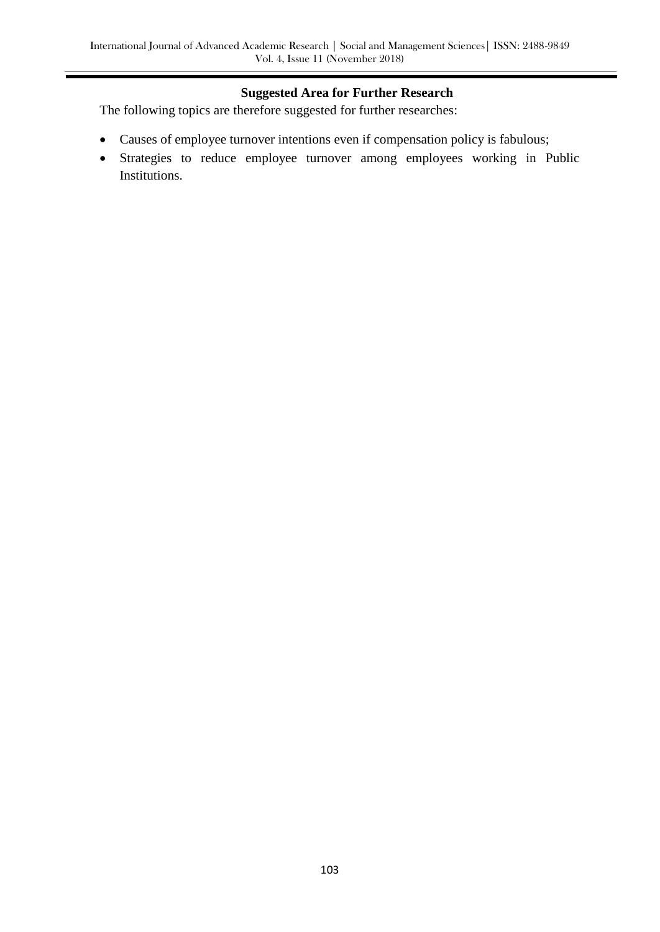### **Suggested Area for Further Research**

The following topics are therefore suggested for further researches:

- Causes of employee turnover intentions even if compensation policy is fabulous;
- Strategies to reduce employee turnover among employees working in Public Institutions.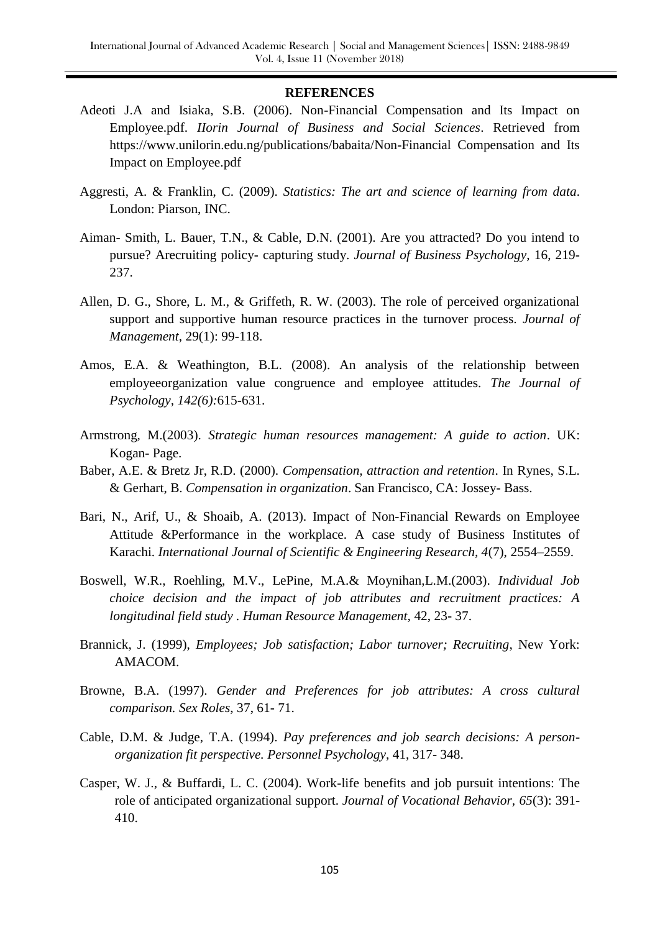#### **REFERENCES**

- Adeoti J.A and Isiaka, S.B. (2006). Non-Financial Compensation and Its Impact on Employee.pdf. *IIorin Journal of Business and Social Sciences*. Retrieved from https://www.unilorin.edu.ng/publications/babaita/Non-Financial Compensation and Its Impact on Employee.pdf
- Aggresti, A. & Franklin, C. (2009). *Statistics: The art and science of learning from data*. London: Piarson, INC.
- Aiman- Smith, L. Bauer, T.N., & Cable, D.N. (2001). Are you attracted? Do you intend to pursue? Arecruiting policy- capturing study. *Journal of Business Psychology*, 16, 219- 237.
- Allen, D. G., Shore, L. M., & Griffeth, R. W. (2003). The role of perceived organizational support and supportive human resource practices in the turnover process. *Journal of Management*, 29(1): 99-118.
- Amos, E.A. & Weathington, B.L. (2008). An analysis of the relationship between employeeorganization value congruence and employee attitudes. *The Journal of Psychology, 142(6):*615-631.
- Armstrong, M.(2003). *Strategic human resources management: A guide to action*. UK: Kogan- Page.
- Baber, A.E. & Bretz Jr, R.D. (2000). *Compensation, attraction and retention*. In Rynes, S.L. & Gerhart, B. *Compensation in organization*. San Francisco, CA: Jossey- Bass.
- Bari, N., Arif, U., & Shoaib, A. (2013). Impact of Non-Financial Rewards on Employee Attitude &Performance in the workplace. A case study of Business Institutes of Karachi. *International Journal of Scientific & Engineering Research, 4*(7), 2554–2559.
- Boswell, W.R., Roehling, M.V., LePine, M.A.& Moynihan,L.M.(2003). *Individual Job choice decision and the impact of job attributes and recruitment practices: A longitudinal field study . Human Resource Management,* 42, 23- 37.
- Brannick, J. (1999), *Employees; Job satisfaction; Labor turnover; Recruiting*, New York: AMACOM.
- Browne, B.A. (1997). *Gender and Preferences for job attributes: A cross cultural comparison. Sex Roles*, 37, 61- 71.
- Cable, D.M. & Judge, T.A. (1994). *Pay preferences and job search decisions: A personorganization fit perspective. Personnel Psychology*, 41, 317- 348.
- Casper, W. J., & Buffardi, L. C. (2004). Work-life benefits and job pursuit intentions: The role of anticipated organizational support. *Journal of Vocational Behavior, 65*(3): 391- 410.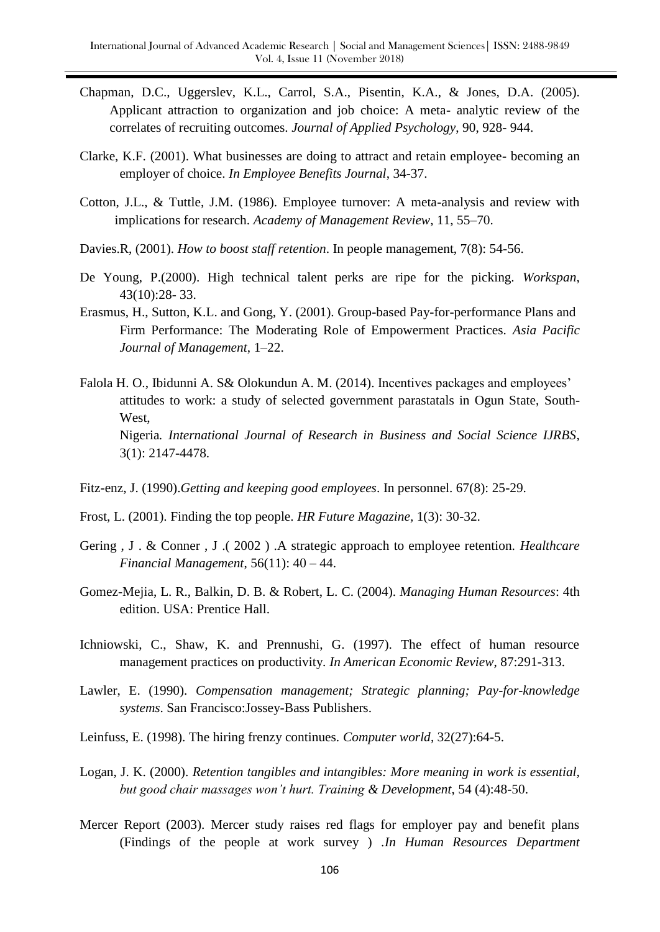- Chapman, D.C., Uggerslev, K.L., Carrol, S.A., Pisentin, K.A., & Jones, D.A. (2005). Applicant attraction to organization and job choice: A meta- analytic review of the correlates of recruiting outcomes. *Journal of Applied Psychology*, 90, 928- 944.
- Clarke, K.F. (2001). What businesses are doing to attract and retain employee- becoming an employer of choice. *In Employee Benefits Journal*, 34-37.
- Cotton, J.L., & Tuttle, J.M. (1986). Employee turnover: A meta-analysis and review with implications for research. *Academy of Management Review*, 11, 55–70.
- Davies.R, (2001). *How to boost staff retention*. In people management, 7(8): 54-56.
- De Young, P.(2000). High technical talent perks are ripe for the picking. *Workspan*, 43(10):28- 33.
- Erasmus, H., Sutton, K.L. and Gong, Y. (2001). Group-based Pay-for-performance Plans and Firm Performance: The Moderating Role of Empowerment Practices. *Asia Pacific Journal of Management*, 1–22.
- Falola H. O., Ibidunni A. S& Olokundun A. M. (2014). Incentives packages and employees' attitudes to work: a study of selected government parastatals in Ogun State, South-West, Nigeria*. International Journal of Research in Business and Social Science IJRBS*, 3(1): 2147-4478.
- Fitz-enz, J. (1990).*Getting and keeping good employees*. In personnel. 67(8): 25-29.
- Frost, L. (2001). Finding the top people. *HR Future Magazine,* 1(3): 30-32.
- Gering , J . & Conner , J .( 2002 ) .A strategic approach to employee retention. *Healthcare Financial Management*, 56(11): 40 – 44.
- Gomez-Mejia, L. R., Balkin, D. B. & Robert, L. C. (2004). *Managing Human Resources*: 4th edition. USA: Prentice Hall.
- Ichniowski, C., Shaw, K. and Prennushi, G. (1997). The effect of human resource management practices on productivity*. In American Economic Review*, 87:291-313.
- Lawler, E. (1990). *Compensation management; Strategic planning; Pay-for-knowledge systems*. San Francisco:Jossey-Bass Publishers.
- Leinfuss, E. (1998). The hiring frenzy continues. *Computer world*, 32(27):64-5.
- Logan, J. K. (2000). *Retention tangibles and intangibles: More meaning in work is essential, but good chair massages won't hurt. Training & Development*, 54 (4):48-50.
- Mercer Report (2003). Mercer study raises red flags for employer pay and benefit plans (Findings of the people at work survey ) .*In Human Resources Department*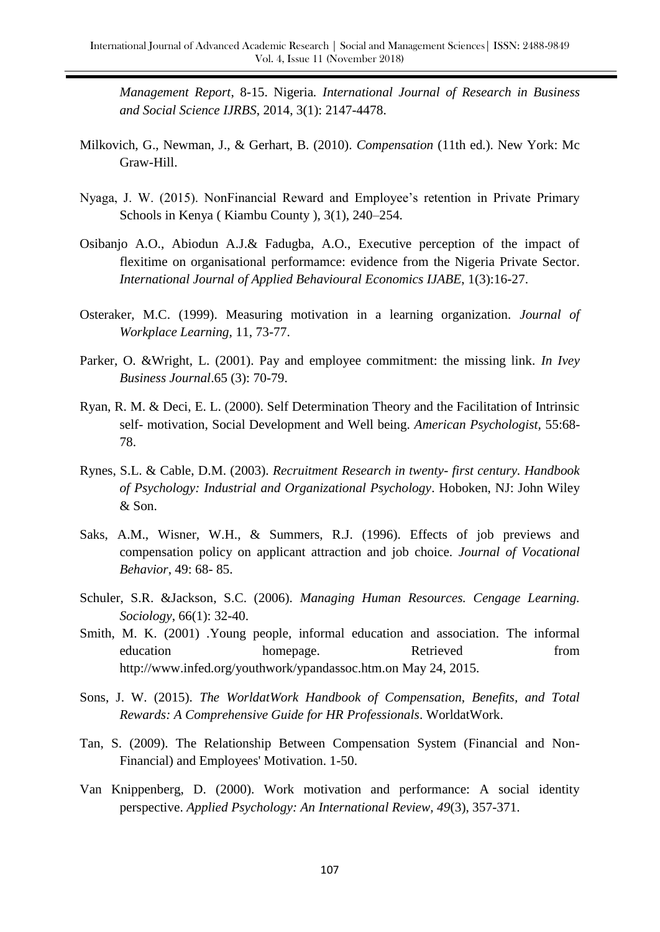*Management Report*, 8-15. Nigeria*. International Journal of Research in Business and Social Science IJRBS*, 2014, 3(1): 2147-4478.

- Milkovich, G., Newman, J., & Gerhart, B. (2010). *Compensation* (11th ed.). New York: Mc Graw-Hill.
- Nyaga, J. W. (2015). NonFinancial Reward and Employee's retention in Private Primary Schools in Kenya ( Kiambu County ), 3(1), 240–254.
- Osibanjo A.O., Abiodun A.J.& Fadugba, A.O., Executive perception of the impact of flexitime on organisational performamce: evidence from the Nigeria Private Sector. *International Journal of Applied Behavioural Economics IJABE*, 1(3):16-27.
- Osteraker, M.C. (1999). Measuring motivation in a learning organization*. Journal of Workplace Learning,* 11, 73-77.
- Parker, O. &Wright, L. (2001). Pay and employee commitment: the missing link. *In Ivey Business Journal*.65 (3): 70-79.
- Ryan, R. M. & Deci, E. L. (2000). Self Determination Theory and the Facilitation of Intrinsic self- motivation, Social Development and Well being. *American Psychologist,* 55:68- 78.
- Rynes, S.L. & Cable, D.M. (2003). *Recruitment Research in twenty- first century. Handbook of Psychology: Industrial and Organizational Psychology*. Hoboken, NJ: John Wiley & Son.
- Saks, A.M., Wisner, W.H., & Summers, R.J. (1996). Effects of job previews and compensation policy on applicant attraction and job choice. *Journal of Vocational Behavior*, 49: 68- 85.
- Schuler, S.R. &Jackson, S.C. (2006). *Managing Human Resources. Cengage Learning. Sociology*, 66(1): 32-40.
- Smith, M. K. (2001) .Young people, informal education and association. The informal education homepage. Retrieved from homepage. http:/[/www.infed.org/youthwork/ypandassoc.htm.on](http://www.infed.org/youthwork/ypandassoc.htm.on) May 24, 2015.
- Sons, J. W. (2015). *The WorldatWork Handbook of Compensation, Benefits, and Total Rewards: A Comprehensive Guide for HR Professionals*. WorldatWork.
- Tan, S. (2009). The Relationship Between Compensation System (Financial and Non-Financial) and Employees' Motivation. 1-50.
- Van Knippenberg, D. (2000). Work motivation and performance: A social identity perspective. *Applied Psychology: An International Review, 49*(3), 357-371.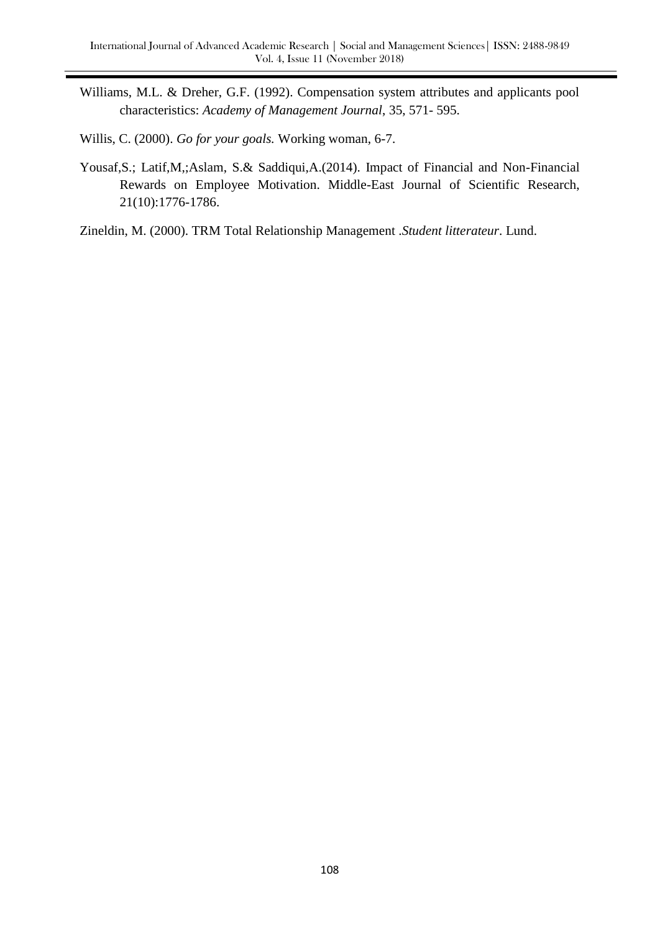- Williams, M.L. & Dreher, G.F. (1992). Compensation system attributes and applicants pool characteristics: *Academy of Management Journal*, 35, 571- 595.
- Willis, C. (2000). *Go for your goals.* Working woman, 6-7.
- Yousaf,S.; Latif,M,;Aslam, S.& Saddiqui,A.(2014). Impact of Financial and Non-Financial Rewards on Employee Motivation. Middle-East Journal of Scientific Research, 21(10):1776-1786.
- Zineldin, M. (2000). TRM Total Relationship Management .*Student litterateur*. Lund.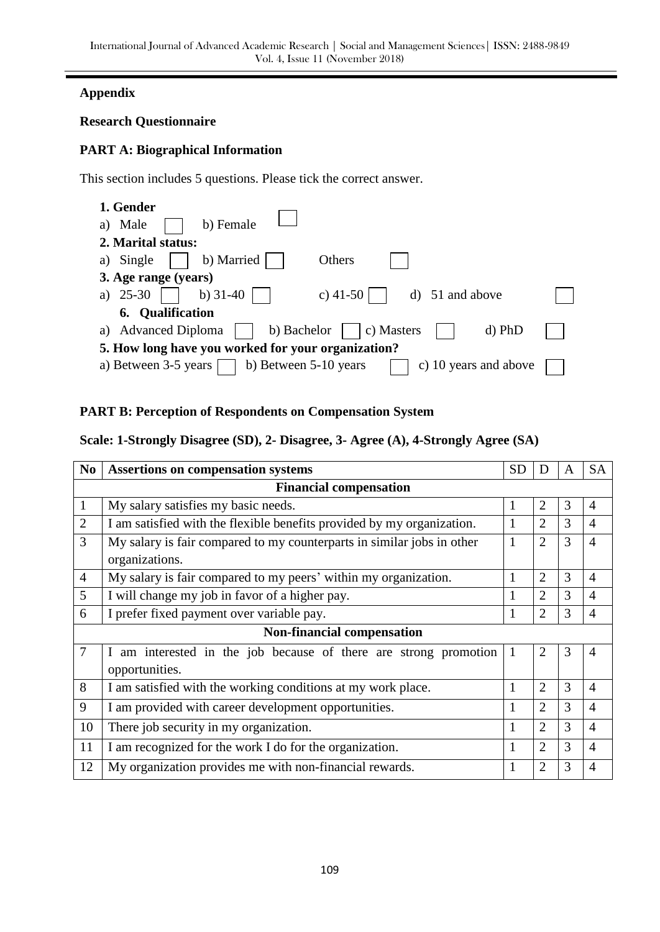# **Appendix**

## **Research Questionnaire**

## **PART A: Biographical Information**

This section includes 5 questions. Please tick the correct answer.

| 1. Gender                                                               |  |
|-------------------------------------------------------------------------|--|
| b) Female<br>Male<br>a)                                                 |  |
| 2. Marital status:                                                      |  |
| b) Married<br>Others<br>Single<br>a)                                    |  |
| 3. Age range (years)                                                    |  |
| b) $31-40$<br>25-30<br>c) $41-50$<br>d) 51 and above<br>a)              |  |
| <b>6.</b> Qualification                                                 |  |
| b) Bachelor<br>$d$ ) PhD<br><b>Advanced Diploma</b><br>c) Masters<br>a) |  |
| 5. How long have you worked for your organization?                      |  |
| b) Between 5-10 years<br>c) 10 years and above<br>a) Between 3-5 years  |  |

# **PART B: Perception of Respondents on Compensation System**

# **Scale: 1-Strongly Disagree (SD), 2- Disagree, 3- Agree (A), 4-Strongly Agree (SA)**

| N <sub>0</sub> | <b>Assertions on compensation systems</b>                              | <b>SD</b>    | D              | A | <b>SA</b>      |  |  |
|----------------|------------------------------------------------------------------------|--------------|----------------|---|----------------|--|--|
|                | <b>Financial compensation</b>                                          |              |                |   |                |  |  |
| $\mathbf{1}$   | My salary satisfies my basic needs.                                    | 1            | $\overline{2}$ | 3 | $\overline{4}$ |  |  |
| $\overline{2}$ | I am satisfied with the flexible benefits provided by my organization. |              | $\overline{2}$ | 3 | $\overline{4}$ |  |  |
| 3              | My salary is fair compared to my counterparts in similar jobs in other | 1            | $\overline{2}$ | 3 | $\overline{4}$ |  |  |
|                | organizations.                                                         |              |                |   |                |  |  |
| $\overline{4}$ | My salary is fair compared to my peers' within my organization.        | 1            | $\overline{2}$ | 3 | $\overline{4}$ |  |  |
| 5              | I will change my job in favor of a higher pay.                         |              | $\overline{2}$ | 3 | $\overline{4}$ |  |  |
| 6              | I prefer fixed payment over variable pay.                              | 1            | $\overline{2}$ | 3 | $\overline{4}$ |  |  |
|                | <b>Non-financial compensation</b>                                      |              |                |   |                |  |  |
| 7              | I am interested in the job because of there are strong promotion       | $\mathbf{1}$ | $\overline{2}$ | 3 | $\overline{4}$ |  |  |
|                | opportunities.                                                         |              |                |   |                |  |  |
| 8              | I am satisfied with the working conditions at my work place.           | 1            | $\overline{2}$ | 3 | $\overline{4}$ |  |  |
| 9              | I am provided with career development opportunities.                   | 1            | $\overline{2}$ | 3 | $\overline{4}$ |  |  |
| 10             | There job security in my organization.                                 |              | $\overline{2}$ | 3 | $\overline{4}$ |  |  |
| 11             | I am recognized for the work I do for the organization.                |              | $\overline{2}$ | 3 | $\overline{4}$ |  |  |
| 12             | My organization provides me with non-financial rewards.                | 1            | 2              | 3 | $\overline{4}$ |  |  |